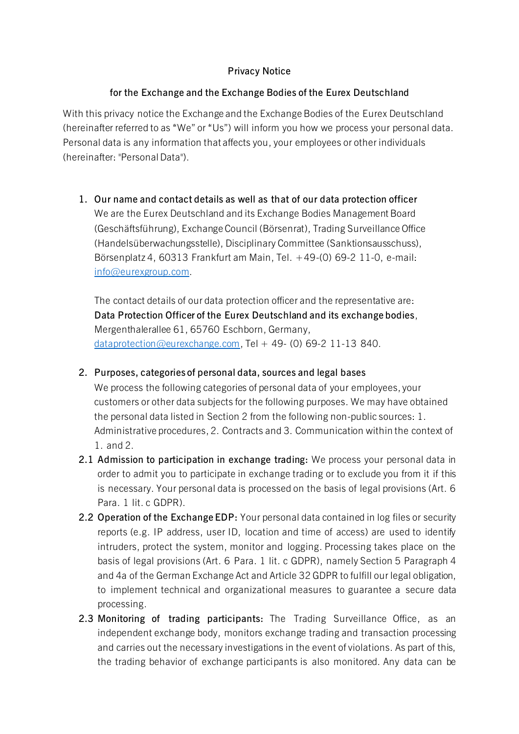# **Privacy Notice**

# **for the Exchange and the Exchange Bodies of the Eurex Deutschland**

With this privacy notice the Exchange and the Exchange Bodies of the Eurex Deutschland (hereinafter referred to as "We" or "Us") will inform you how we process your personal data. Personal data is any information that affects you, your employees or other individuals (hereinafter: "Personal Data").

**1. Our name and contact details as well as that of our data protection officer** We are the Eurex Deutschland and its Exchange Bodies Management Board (Geschäftsführung), Exchange Council (Börsenrat), Trading Surveillance Office (Handelsüberwachungsstelle), Disciplinary Committee (Sanktionsausschuss), Börsenplatz 4, 60313 Frankfurt am Main, Tel. +49-(0) 69-2 11-0, e-mail: [info@eurexgroup.com](mailto:info@eurexgroup.com).

The contact details of our data protection officer and the representative are: **Data Protection Officer of the Eurex Deutschland and its exchange bodies**, Mergenthalerallee 61, 65760 Eschborn, Germany, [dataprotection@eurexchange.com](mailto:dataprotection@eurexchange.com), Tel + 49- (0) 69-2 11-13 840.

**2. Purposes, categories of personal data, sources and legal bases**

We process the following categories of personal data of your employees, your customers or other data subjects for the following purposes. We may have obtained the personal data listed in Section 2 from the following non-public sources: 1. Administrative procedures, 2. Contracts and 3. Communication within the context of 1. and 2.

- **2.1 Admission to participation in exchange trading:** We process your personal data in order to admit you to participate in exchange trading or to exclude you from it if this is necessary. Your personal data is processed on the basis of legal provisions (Art. 6 Para. 1 lit. c GDPR).
- **2.2 Operation of the Exchange EDP:** Your personal data contained in log files or security reports (e.g. IP address, user ID, location and time of access) are used to identify intruders, protect the system, monitor and logging. Processing takes place on the basis of legal provisions (Art. 6 Para. 1 lit. c GDPR), namely Section 5 Paragraph 4 and 4a of the German Exchange Act and Article 32 GDPR to fulfill our legal obligation, to implement technical and organizational measures to guarantee a secure data processing.
- **2.3 Monitoring of trading participants:** The Trading Surveillance Office, as an independent exchange body, monitors exchange trading and transaction processing and carries out the necessary investigations in the event of violations. As part of this, the trading behavior of exchange participants is also monitored. Any data can be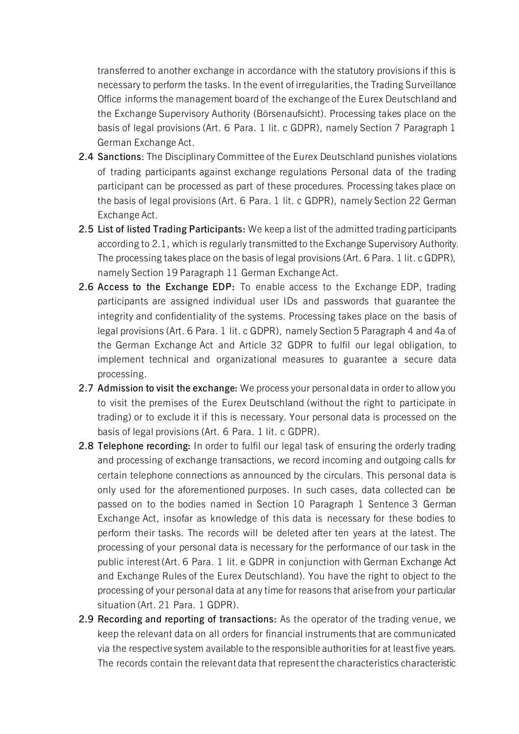transferred to another exchange in accordance with the statutory provisions if this is necessary to perform the tasks. In the event of irregularities, the Trading Surveillance Office informs the management board of the exchange of the Eurex Deutschland and the Exchange Supervisory Authority (Börsenaufsicht). Processing takes place on the basis of legal provisions (Art. 6 Para. 1 lit. c GDPR), namely Section 7 Paragraph 1 German Exchange Act.

- **2.4 Sanctions**: The Disciplinary Committee of the Eurex Deutschland punishes violations of trading participants against exchange regulations Personal data of the trading participant can be processed as part of these procedures. Processing takes place on the basis of legal provisions (Art. 6 Para. 1 lit. c GDPR), namely Section 22 German Exchange Act.
- **2.5 List of listed Trading Participants:** We keep a list of the admitted trading participants according to 2.1, which is regularly transmitted to the Exchange Supervisory Authority. The processing takes place on the basis of legal provisions (Art. 6 Para. 1 lit. c GDPR), namely Section 19 Paragraph 11 German Exchange Act.
- **2.6 Access to the Exchange EDP:** To enable access to the Exchange EDP, trading participants are assigned individual user IDs and passwords that guarantee the integrity and confidentiality of the systems. Processing takes place on the basis of legal provisions (Art. 6 Para. 1 lit. c GDPR), namely Section 5 Paragraph 4 and 4a of the German Exchange Act and Article 32 GDPR to fulfil our legal obligation, to implement technical and organizational measures to guarantee a secure data processing.
- **2.7 Admission to visit the exchange:** We process your personal data in order to allow you to visit the premises of the Eurex Deutschland (without the right to participate in trading) or to exclude it if this is necessary. Your personal data is processed on the basis of legal provisions (Art. 6 Para. 1 lit. c GDPR).
- **2.8 Telephone recording:** In order to fulfil our legal task of ensuring the orderly trading and processing of exchange transactions, we record incoming and outgoing calls for certain telephone connections as announced by the circulars. This personal data is only used for the aforementioned purposes. In such cases, data collected can be passed on to the bodies named in Section 10 Paragraph 1 Sentence 3 German Exchange Act, insofar as knowledge of this data is necessary for these bodies to perform their tasks. The records will be deleted after ten years at the latest. The processing of your personal data is necessary for the performance of our task in the public interest (Art. 6 Para. 1 lit. e GDPR in conjunction with German Exchange Act and Exchange Rules of the Eurex Deutschland). You have the right to object to the processing of your personal data at any time for reasons that arise from your particular situation (Art. 21 Para. 1 GDPR).
- **2.9 Recording and reporting of transactions:** As the operator of the trading venue, we keep the relevant data on all orders for financial instruments that are communicated via the respective system available to the responsible authorities for at least five years. The records contain the relevant data that represent the characteristics characteristic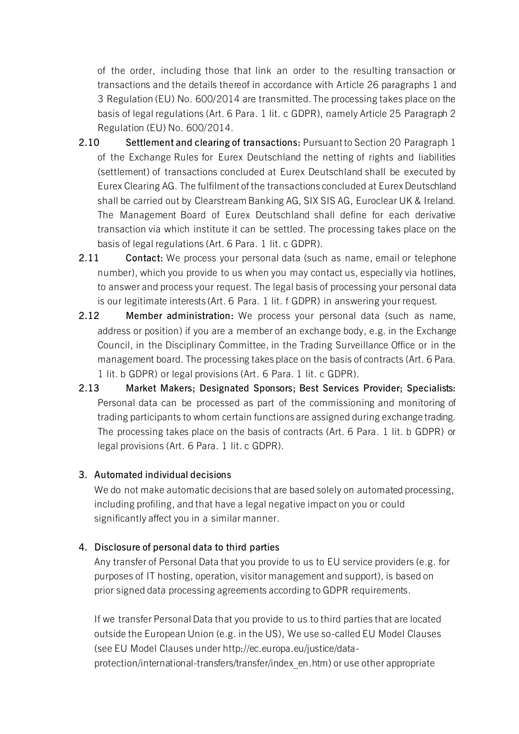of the order, including those that link an order to the resulting transaction or transactions and the details thereof in accordance with Article 26 paragraphs 1 and 3 Regulation (EU) No. 600/2014 are transmitted. The processing takes place on the basis of legal regulations (Art. 6 Para. 1 lit. c GDPR), namely Article 25 Paragraph 2 Regulation (EU) No. 600/2014.

- **2.10 Settlement and clearing of transactions:** Pursuant to Section 20 Paragraph 1 of the Exchange Rules for Eurex Deutschland the netting of rights and liabilities (settlement) of transactions concluded at Eurex Deutschland shall be executed by Eurex Clearing AG. The fulfilment of the transactions concluded at Eurex Deutschland shall be carried out by Clearstream Banking AG, SIX SIS AG, Euroclear UK & Ireland. The Management Board of Eurex Deutschland shall define for each derivative transaction via which institute it can be settled. The processing takes place on the basis of legal regulations (Art. 6 Para. 1 lit. c GDPR).
- **2.11 Contact:** We process your personal data (such as name, email or telephone number), which you provide to us when you may contact us, especially via hotlines, to answer and process your request. The legal basis of processing your personal data is our legitimate interests (Art. 6 Para. 1 lit. f GDPR) in answering your request.
- **2.12 Member administration:** We process your personal data (such as name, address or position) if you are a member of an exchange body, e.g. in the Exchange Council, in the Disciplinary Committee, in the Trading Surveillance Office or in the management board. The processing takes place on the basis of contracts (Art. 6 Para. 1 lit. b GDPR) or legal provisions (Art. 6 Para. 1 lit. c GDPR).
- **2.13 Market Makers; Designated Sponsors; Best Services Provider; Specialists:** Personal data can be processed as part of the commissioning and monitoring of trading participants to whom certain functions are assigned during exchange trading. The processing takes place on the basis of contracts (Art. 6 Para. 1 lit. b GDPR) or legal provisions (Art. 6 Para. 1 lit. c GDPR).

#### **3. Automated individual decisions**

We do not make automatic decisions that are based solely on automated processing, including profiling, and that have a legal negative impact on you or could significantly affect you in a similar manner.

#### **4. Disclosure of personal data to third parties**

Any transfer of Personal Data that you provide to us to EU service providers (e.g. for purposes of IT hosting, operation, visitor management and support), is based on prior signed data processing agreements according to GDPR requirements.

If we transfer Personal Data that you provide to us to third parties that are located outside the European Union (e.g. in the US), We use so-called EU Model Clauses (see EU Model Clauses under http://ec.europa.eu/justice/dataprotection/international-transfers/transfer/index\_en.htm) or use other appropriate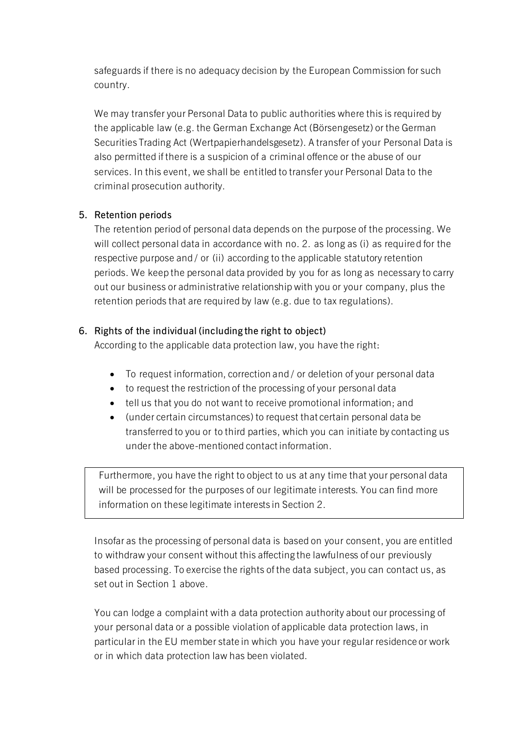safeguards if there is no adequacy decision by the European Commission for such country.

We may transfer your Personal Data to public authorities where this is required by the applicable law (e.g. the German Exchange Act (Börsengesetz) or the German Securities Trading Act (Wertpapierhandelsgesetz). A transfer of your Personal Data is also permitted if there is a suspicion of a criminal offence or the abuse of our services. In this event, we shall be entitled to transfer your Personal Data to the criminal prosecution authority.

### **5. Retention periods**

The retention period of personal data depends on the purpose of the processing. We will collect personal data in accordance with no. 2. as long as (i) as required for the respective purpose and / or (ii) according to the applicable statutory retention periods. We keep the personal data provided by you for as long as necessary to carry out our business or administrative relationship with you or your company, plus the retention periods that are required by law (e.g. due to tax regulations).

### **6. Rights of the individual (including the right to object)**

According to the applicable data protection law, you have the right:

- To request information, correction and / or deletion of your personal data
- to request the restriction of the processing of your personal data
- tell us that you do not want to receive promotional information; and
- (under certain circumstances) to request that certain personal data be transferred to you or to third parties, which you can initiate by contacting us under the above-mentioned contact information.

Furthermore, you have the right to object to us at any time that your personal data will be processed for the purposes of our legitimate interests. You can find more information on these legitimate interests in Section 2.

Insofar as the processing of personal data is based on your consent, you are entitled to withdraw your consent without this affecting the lawfulness of our previously based processing. To exercise the rights of the data subject, you can contact us, as set out in Section 1 above.

You can lodge a complaint with a data protection authority about our processing of your personal data or a possible violation of applicable data protection laws, in particular in the EU member state in which you have your regular residence or work or in which data protection law has been violated.